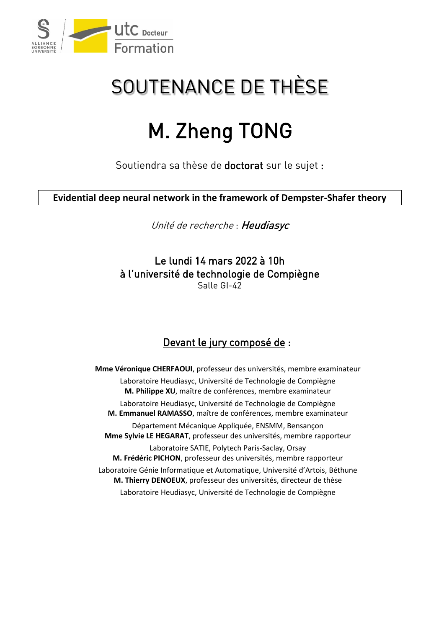

## SOUTENANCE DE THÈSE

## M. Zheng TONG

Soutiendra sa thèse de doctorat sur le sujet :

**Evidential deep neural network in the framework of Dempster-Shafer theory**

Unité de recherche : Heudiasyc

Le lundi 14 mars 2022 à 10h à l'université de technologie de Compiègne Salle GI-42

## Devant le jury composé de :

**Mme Véronique CHERFAOUI**, professeur des universités, membre examinateur Laboratoire Heudiasyc, Université de Technologie de Compiègne **M. Philippe XU**, maître de conférences, membre examinateur Laboratoire Heudiasyc, Université de Technologie de Compiègne **M. Emmanuel RAMASSO**, maître de conférences, membre examinateur Département Mécanique Appliquée, ENSMM, Bensançon **Mme Sylvie LE HEGARAT**, professeur des universités, membre rapporteur Laboratoire SATIE, Polytech Paris-Saclay, Orsay **M. Frédéric PICHON**, professeur des universités, membre rapporteur Laboratoire Génie Informatique et Automatique, Université d'Artois, Béthune **M. Thierry DENOEUX**, professeur des universités, directeur de thèse Laboratoire Heudiasyc, Université de Technologie de Compiègne